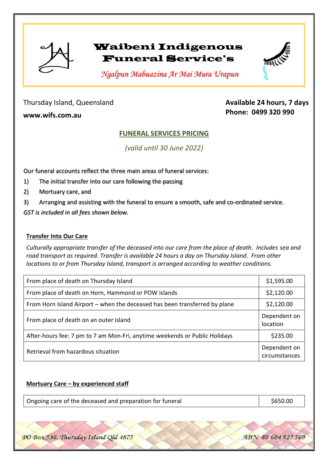

# Waibeni Indigenous Funeral Service's



 *Ngalpun Mabuazina Ar Mai Mura Urapun*

Thursday Island, Queensland

**www.wifs.com.au**

# **Available 24 hours, 7 days Phone: 0499 320 990**

# **FUNERAL SERVICES PRICING**

*(valid until 30 June 2022)*

Our funeral accounts reflect the three main areas of funeral services:

1) The initial transfer into our care following the passing

2) Mortuary care, and

3) Arranging and assisting with the funeral to ensure a smooth, safe and co-ordinated service.

*GST is included in all fees shown below.*

### **Transfer Into Our Care**

*Culturally appropriate transfer of the deceased into our care from the place of death. Includes sea and road transport as required. Transfer is available 24 hours a day on Thursday Island. From other locations to or from Thursday Island, transport is arranged according to weather conditions.* 

| From place of death on Thursday Island                                     | \$1,595.00                    |
|----------------------------------------------------------------------------|-------------------------------|
| From place of death on Horn, Hammond or POW islands                        | \$2,120.00                    |
| From Horn Island Airport – when the deceased has been transferred by plane | \$2,120.00                    |
| From place of death on an outer island                                     | Dependent on<br>location      |
| After-hours fee: 7 pm to 7 am Mon-Fri, anytime weekends or Public Holidays | \$235.00                      |
| Retrieval from hazardous situation                                         | Dependent on<br>circumstances |

### **Mortuary Care – by experienced staff**

| Ongoing care of the deceased and preparation for funeral | \$650.00 |
|----------------------------------------------------------|----------|
|----------------------------------------------------------|----------|

PO Box 536, Thursday Island Qld 4875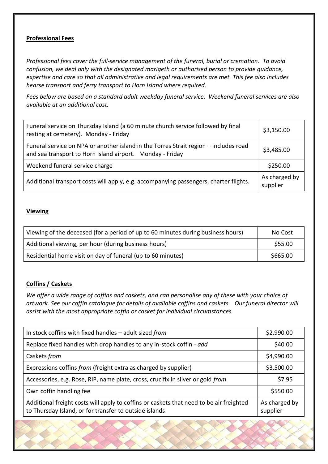#### **Professional Fees**

*Professional fees cover the full-service management of the funeral, burial or cremation. To avoid confusion, we deal only with the designated marigeth or authorised person to provide guidance, expertise and care so that all administrative and legal requirements are met. This fee also includes hearse transport and ferry transport to Horn Island where required.*

*Fees below are based on a standard adult weekday funeral service. Weekend funeral services are also available at an additional cost.*

| Funeral service on Thursday Island (a 60 minute church service followed by final<br>resting at cemetery). Monday - Friday                         | \$3,150.00                |
|---------------------------------------------------------------------------------------------------------------------------------------------------|---------------------------|
| Funeral service on NPA or another island in the Torres Strait region - includes road<br>and sea transport to Horn Island airport. Monday - Friday | \$3,485.00                |
| Weekend funeral service charge                                                                                                                    | \$250.00                  |
| Additional transport costs will apply, e.g. accompanying passengers, charter flights.                                                             | As charged by<br>supplier |

#### **Viewing**

| Viewing of the deceased (for a period of up to 60 minutes during business hours) | No Cost  |
|----------------------------------------------------------------------------------|----------|
| Additional viewing, per hour (during business hours)                             | \$55.00  |
| Residential home visit on day of funeral (up to 60 minutes)                      | \$665.00 |

#### **Coffins / Caskets**

*We offer a wide range of coffins and caskets, and can personalise any of these with your choice of artwork. See our coffin catalogue for details of available coffins and caskets. Our funeral director will assist with the most appropriate coffin or casket for individual circumstances.* 

| In stock coffins with fixed handles $-$ adult sized from                                                                                          | \$2,990.00                |
|---------------------------------------------------------------------------------------------------------------------------------------------------|---------------------------|
| Replace fixed handles with drop handles to any in-stock coffin - add                                                                              | \$40.00                   |
| Caskets from                                                                                                                                      | \$4,990.00                |
| Expressions coffins from (freight extra as charged by supplier)                                                                                   | \$3,500.00                |
| Accessories, e.g. Rose, RIP, name plate, cross, crucifix in silver or gold from                                                                   | \$7.95                    |
| Own coffin handling fee                                                                                                                           | \$550.00                  |
| Additional freight costs will apply to coffins or caskets that need to be air freighted<br>to Thursday Island, or for transfer to outside islands | As charged by<br>supplier |